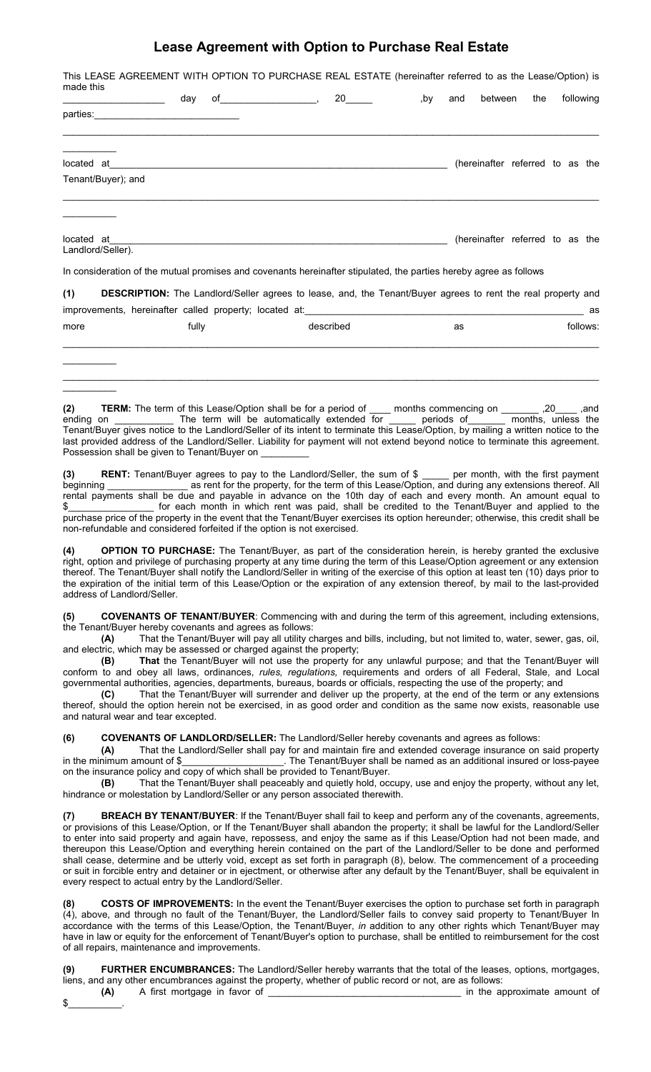## **Lease Agreement with Option to Purchase Real Estate**

| made this  | This LEASE AGREEMENT WITH OPTION TO PURCHASE REAL ESTATE (hereinafter referred to as the Lease/Option) is           |     |  |  |     |     |         |                                 |  |  |           |
|------------|---------------------------------------------------------------------------------------------------------------------|-----|--|--|-----|-----|---------|---------------------------------|--|--|-----------|
|            |                                                                                                                     | day |  |  | ,by | and | between | the                             |  |  | following |
| parties:   |                                                                                                                     |     |  |  |     |     |         |                                 |  |  |           |
|            |                                                                                                                     |     |  |  |     |     |         |                                 |  |  |           |
| located at | Tenant/Buyer); and                                                                                                  |     |  |  |     |     |         | (hereinafter referred to as the |  |  |           |
|            |                                                                                                                     |     |  |  |     |     |         |                                 |  |  |           |
| located at | Landlord/Seller).                                                                                                   |     |  |  |     |     |         | (hereinafter referred to as the |  |  |           |
|            | In consideration of the mutual promises and covenants hereinafter stipulated, the parties hereby agree as follows   |     |  |  |     |     |         |                                 |  |  |           |
| (1)        | <b>DESCRIPTION:</b> The Landlord/Seller agrees to lease, and, the Tenant/Buyer agrees to rent the real property and |     |  |  |     |     |         |                                 |  |  |           |

| improvements, hereinafter called property; located at: |       |  |           |    | as       |
|--------------------------------------------------------|-------|--|-----------|----|----------|
| more                                                   | fully |  | described | as | follows: |
|                                                        |       |  |           |    |          |
|                                                        |       |  |           |    |          |
|                                                        |       |  |           |    |          |

| (2)       |  |                                              | <b>TERM:</b> The term of this Lease/Option shall be for a period of |  | months commencing on                                                                                                              | .20                | .and |
|-----------|--|----------------------------------------------|---------------------------------------------------------------------|--|-----------------------------------------------------------------------------------------------------------------------------------|--------------------|------|
| ending on |  |                                              | The term will be automatically extended for                         |  | periods of                                                                                                                        | months, unless the |      |
|           |  |                                              |                                                                     |  | Tenant/Buyer gives notice to the Landlord/Seller of its intent to terminate this Lease/Option, by mailing a written notice to the |                    |      |
|           |  |                                              |                                                                     |  | last provided address of the Landlord/Seller. Liability for payment will not extend beyond notice to terminate this agreement.    |                    |      |
|           |  | Possession shall be given to Tenant/Buyer on |                                                                     |  |                                                                                                                                   |                    |      |

**(3) RENT:** Tenant/Buyer agrees to pay to the Landlord/Seller, the sum of \$ \_\_\_\_\_ per month, with the first payment beginning \_\_\_\_\_\_\_\_\_\_\_\_\_\_\_\_\_\_ as rent for the property, for the term of this Lease/Option, and during any extensions thereof. All rental payments shall be due and payable in advance on the 10th day of each and every month. An amount equal to for each month in which rent was paid, shall be credited to the Tenant/Buyer and applied to the purchase price of the property in the event that the Tenant/Buyer exercises its option hereunder; otherwise, this credit shall be non-refundable and considered forfeited if the option is not exercised.

**(4) OPTION TO PURCHASE:** The Tenant/Buyer, as part of the consideration herein, is hereby granted the exclusive right, option and privilege of purchasing property at any time during the term of this Lease/Option agreement or any extension thereof. The Tenant/Buyer shall notify the Landlord/Seller in writing of the exercise of this option at least ten (10) days prior to the expiration of the initial term of this Lease/Option or the expiration of any extension thereof, by mail to the last-provided address of Landlord/Seller.

**(5) COVENANTS OF TENANT/BUYER**: Commencing with and during the term of this agreement, including extensions, the Tenant/Buyer hereby covenants and agrees as follows:

**(A)** That the Tenant/Buyer will pay all utility charges and bills, including, but not limited to, water, sewer, gas, oil, and electric, which may be assessed or charged against the property;

**(B) That** the Tenant/Buyer will not use the property for any unlawful purpose; and that the Tenant/Buyer will conform to and obey all laws, ordinances, *rules, regulations,* requirements and orders of all Federal, Stale, and Local governmental authorities, agencies, departments, bureaus, boards or officials, respecting the use of the property; and

**(C)** That the Tenant/Buyer will surrender and deliver up the property, at the end of the term or any extensions thereof, should the option herein not be exercised, in as good order and condition as the same now exists, reasonable use and natural wear and tear excepted.

**(6) COVENANTS OF LANDLORD/SELLER:** The Landlord/Seller hereby covenants and agrees as follows:

**(A)** That the Landlord/Seller shall pay for and maintain fire and extended coverage insurance on said property in the minimum amount of \$ The Tenant/Buyer shall be named as an additional insured or loss-payee on the insurance policy and copy of which shall be provided to Tenant/Buyer.<br> **(B)** That the Tenant/Buyer shall peaceably and quietly hold, oc

**(B)** That the Tenant/Buyer shall peaceably and quietly hold, occupy, use and enjoy the property, without any let, hindrance or molestation by Landlord/Seller or any person associated therewith.

**(7) BREACH BY TENANT/BUYER**: If the Tenant/Buyer shall fail to keep and perform any of the covenants, agreements, or provisions of this Lease/Option, or If the Tenant/Buyer shall abandon the property; it shall be lawful for the Landlord/Seller to enter into said property and again have, repossess, and enjoy the same as if this Lease/Option had not been made, and thereupon this Lease/Option and everything herein contained on the part of the Landlord/Seller to be done and performed shall cease, determine and be utterly void, except as set forth in paragraph (8), below. The commencement of a proceeding or suit in forcible entry and detainer or in ejectment, or otherwise after any default by the Tenant/Buyer, shall be equivalent in every respect to actual entry by the Landlord/Seller.

**(8) COSTS OF IMPROVEMENTS:** In the event the Tenant/Buyer exercises the option to purchase set forth in paragraph (4), above, and through no fault of the Tenant/Buyer, the Landlord/Seller fails to convey said property to Tenant/Buyer In accordance with the terms of this Lease/Option, the Tenant/Buyer, *in* addition to any other rights which Tenant/Buyer may have in law or equity for the enforcement of Tenant/Buyer's option to purchase, shall be entitled to reimbursement for the cost of all repairs, maintenance and improvements.

**(9) FURTHER ENCUMBRANCES:** The Landlord/Seller hereby warrants that the total of the leases, options, mortgages, liens, and any other encumbrances against the property, whether of public record or not, are as follows: **(A)** A first mortgage in favor of \_\_\_\_\_\_\_\_\_\_\_\_\_\_\_\_\_\_\_\_\_\_\_\_\_\_\_\_\_\_\_\_\_\_\_\_ in the approximate amount of

\$\_\_\_\_\_\_\_\_\_\_.

 $\frac{1}{2}$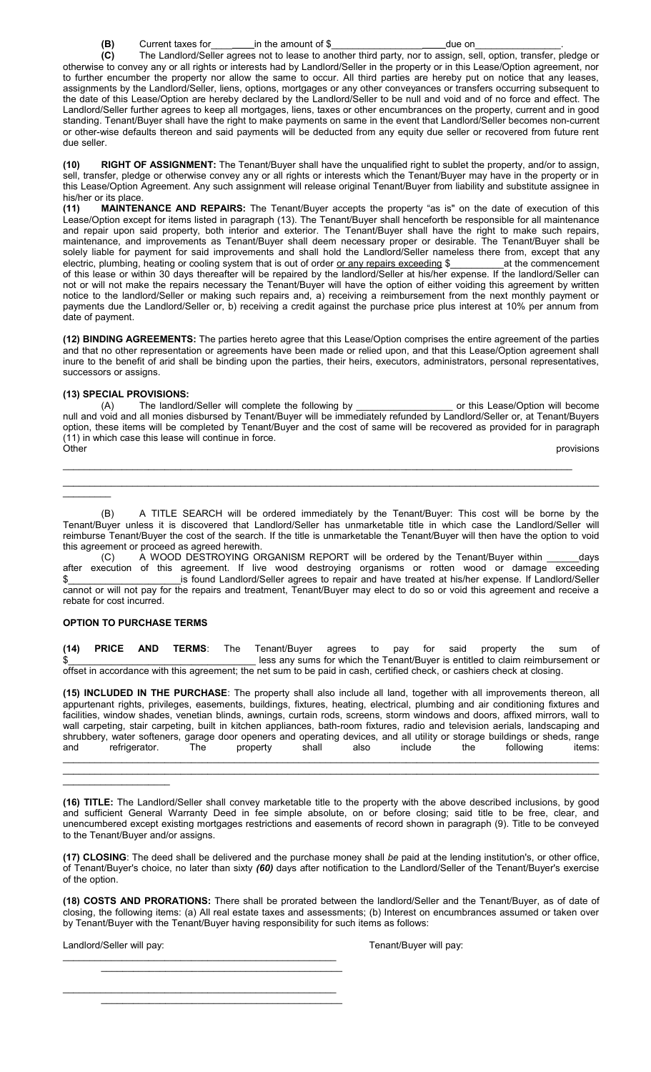**(B)** Current taxes for \_\_\_\_\_\_\_\_\_ in the amount of \$\_\_\_\_\_\_\_\_\_\_\_\_\_\_\_\_\_\_\_\_\_\_\_\_\_\_\_\_\_due on

**(C)** The Landlord/Seller agrees not to lease to another third party, nor to assign, sell, option, transfer, pledge or otherwise to convey any or all rights or interests had by Landlord/Seller in the property or in this Lease/Option agreement, nor to further encumber the property nor allow the same to occur. All third parties are hereby put on notice that any leases, assignments by the Landlord/Seller, liens, options, mortgages or any other conveyances or transfers occurring subsequent to the date of this Lease/Option are hereby declared by the Landlord/Seller to be null and void and of no force and effect. The Landlord/Seller further agrees to keep all mortgages, liens, taxes or other encumbrances on the property, current and in good standing. Tenant/Buyer shall have the right to make payments on same in the event that Landlord/Seller becomes non-current or other-wise defaults thereon and said payments will be deducted from any equity due seller or recovered from future rent due seller.

**(10) RIGHT OF ASSIGNMENT:** The Tenant/Buyer shall have the unqualified right to sublet the property, and/or to assign, sell, transfer, pledge or otherwise convey any or all rights or interests which the Tenant/Buyer may have in the property or in this Lease/Option Agreement. Any such assignment will release original Tenant/Buyer from liability and substitute assignee in his/her or its place.

**(11) MAINTENANCE AND REPAIRS:** The Tenant/Buyer accepts the property "as is" on the date of execution of this Lease/Option except for items listed in paragraph (13). The Tenant/Buyer shall henceforth be responsible for all maintenance and repair upon said property, both interior and exterior. The Tenant/Buyer shall have the right to make such repairs, maintenance, and improvements as Tenant/Buyer shall deem necessary proper or desirable. The Tenant/Buyer shall be solely liable for payment for said improvements and shall hold the Landlord/Seller nameless there from, except that any electric, plumbing, heating or cooling system that is out of order or any repairs exceeding \$ at the c electric, plumbing, heating or cooling system that is out of order or any repairs exceeding \$\_ of this lease or within 30 days thereafter will be repaired by the landlord/Seller at his/her expense. If the landlord/Seller can not or will not make the repairs necessary the Tenant/Buyer will have the option of either voiding this agreement by written notice to the landlord/Seller or making such repairs and, a) receiving a reimbursement from the next monthly payment or payments due the Landlord/Seller or, b) receiving a credit against the purchase price plus interest at 10% per annum from date of payment.

**(12) BINDING AGREEMENTS:** The parties hereto agree that this Lease/Option comprises the entire agreement of the parties and that no other representation or agreements have been made or relied upon, and that this Lease/Option agreement shall inure to the benefit of arid shall be binding upon the parties, their heirs, executors, administrators, personal representatives, successors or assigns.

## **(13) SPECIAL PROVISIONS:**

 $\frac{1}{2}$ 

(A) The landlord/Seller will complete the following by \_\_\_\_\_\_\_\_\_\_\_\_\_\_\_\_\_\_ or this Lease/Option will become null and void and all monies disbursed by Tenant/Buyer will be immediately refunded by Landlord/Seller or, at Tenant/Buyers option, these items will be completed by Tenant/Buyer and the cost of same will be recovered as provided for in paragraph (11) in which case this lease will continue in force. Other provisions

\_\_\_\_\_\_\_\_\_\_\_\_\_\_\_\_\_\_\_\_\_\_\_\_\_\_\_\_\_\_\_\_\_\_\_\_\_\_\_\_\_\_\_\_\_\_\_\_\_\_\_\_\_\_\_\_\_\_\_\_\_\_\_\_\_\_\_\_\_\_\_\_\_\_\_\_\_\_\_\_\_\_\_\_\_\_\_\_\_\_\_\_\_\_\_  $\_$  , and the state of the state of the state of the state of the state of the state of the state of the state of the state of the state of the state of the state of the state of the state of the state of the state of the

(B) A TITLE SEARCH will be ordered immediately by the Tenant/Buyer: This cost will be borne by the Tenant/Buyer unless it is discovered that Landlord/Seller has unmarketable title in which case the Landlord/Seller will reimburse Tenant/Buyer the cost of the search. If the title is unmarketable the Tenant/Buyer will then have the option to void this agreement or proceed as agreed herewith.

(C) A WOOD DESTROYING ORGANISM REPORT will be ordered by the Tenant/Buyer within \_\_\_\_\_\_days after execution of this agreement. If live wood destroying organisms or rotten wood or damage exceeding \$ **\$** is found Landlord/Seller agrees to repair and have treated at his/her expense. If Landlord/Seller cannot or will not pay for the repairs and treatment, Tenant/Buyer may elect to do so or void this agreement and receive a rebate for cost incurred.

## **OPTION TO PURCHASE TERMS**

**(14) PRICE AND TERMS**: The Tenant/Buyer agrees to pay for said property the sum of less any sums for which the Tenant/Buyer is entitled to claim reimbursement or offset in accordance with this agreement; the net sum to be paid in cash, certified check, or cashiers check at closing.

**(15) INCLUDED IN THE PURCHASE**: The property shall also include all land, together with all improvements thereon, all appurtenant rights, privileges, easements, buildings, fixtures, heating, electrical, plumbing and air conditioning fixtures and facilities, window shades, venetian blinds, awnings, curtain rods, screens, storm windows and doors, affixed mirrors, wall to wall carpeting, stair carpeting, built in kitchen appliances, bath-room fixtures, radio and television aerials, landscaping and shrubbery, water softeners, garage door openers and operating devices, and all utility or storage buildings or sheds, range and refrigerator. The property shall also include the following items: and refrigerator. The property shall also include the following items:  $\_$  , and the state of the state of the state of the state of the state of the state of the state of the state of the state of the state of the state of the state of the state of the state of the state of the state of the

 $\_$  , and the state of the state of the state of the state of the state of the state of the state of the state of the state of the state of the state of the state of the state of the state of the state of the state of the

Landlord/Seller will pay:  $\blacksquare$ 

\_\_\_\_\_\_\_\_\_\_\_\_\_\_\_\_\_\_\_\_\_\_\_\_\_\_\_\_\_\_\_\_\_\_\_\_\_\_\_\_\_\_\_\_\_\_\_\_\_\_\_

\_\_\_\_\_\_\_\_\_\_\_\_\_\_\_\_\_\_\_\_\_\_\_\_\_\_\_\_\_\_\_\_\_\_\_\_\_\_\_\_\_\_\_\_\_\_\_\_\_\_\_

\_\_\_\_\_\_\_\_\_\_\_\_\_\_\_\_\_\_\_\_\_\_\_\_\_\_\_\_\_\_\_\_\_\_\_\_\_\_\_\_\_\_\_\_\_

\_\_\_\_\_\_\_\_\_\_\_\_\_\_\_\_\_\_\_\_\_\_\_\_\_\_\_\_\_\_\_\_\_\_\_\_\_\_\_\_\_\_\_\_\_

\_\_\_\_\_\_\_\_\_\_\_\_\_\_\_\_\_\_\_\_

**<sup>(16)</sup> TITLE:** The Landlord/Seller shall convey marketable title to the property with the above described inclusions, by good and sufficient General Warranty Deed in fee simple absolute, on or before closing; said title to be free, clear, and unencumbered except existing mortgages restrictions and easements of record shown in paragraph (9). Title to be conveyed to the Tenant/Buyer and/or assigns.

**<sup>(17)</sup> CLOSING**: The deed shall be delivered and the purchase money shall *be* paid at the lending institution's, or other office, of Tenant/Buyer's choice, no later than sixty *(60)* days after notification to the Landlord/Seller of the Tenant/Buyer's exercise of the option.

**<sup>(18)</sup> COSTS AND PRORATIONS:** There shall be prorated between the landlord/Seller and the Tenant/Buyer, as of date of closing, the following items: (a) All real estate taxes and assessments; (b) Interest on encumbrances assumed or taken over by Tenant/Buyer with the Tenant/Buyer having responsibility for such items as follows: